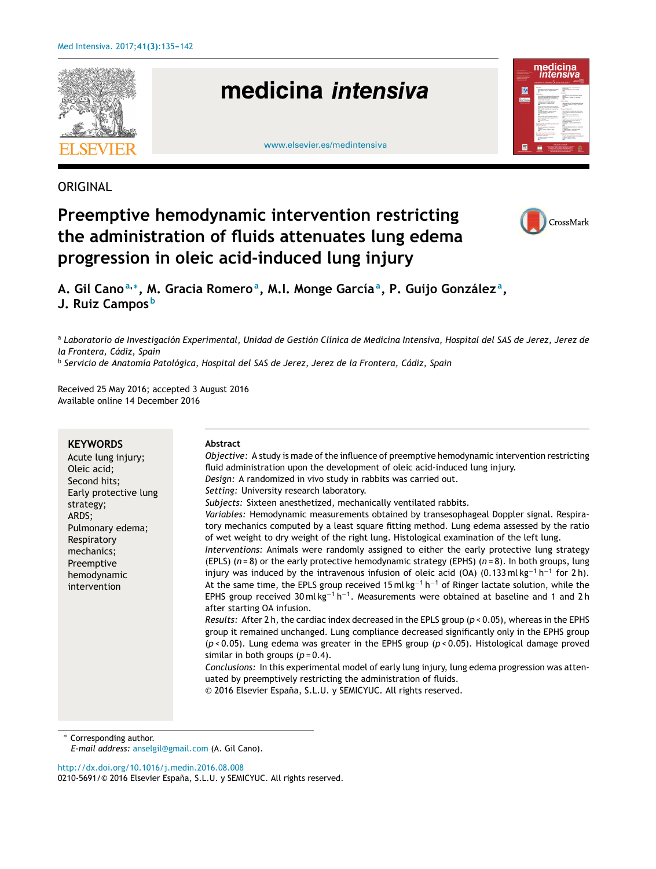

**ORIGINAL** 

# **Preemptive hemodynamic intervention restricting the administration of fluids attenuates lung edema progression in oleic acid-induced lung injury**



**A. Gil Cano<sup>a</sup>**,<sup>∗</sup> **, M. Gracia Romero<sup>a</sup> , M.I. Monge García<sup>a</sup> , P. Guijo González <sup>a</sup> , J. Ruiz Campos <sup>b</sup>**

<sup>a</sup> Laboratorio de Investigación Experimental, Unidad de Gestión Clínica de Medicina Intensiva, Hospital del SAS de Jerez, Jerez de *la Frontera, Cádiz, Spain* b *Servicio de Anatomía Patológica, Hospital del SAS de Jerez, Jerez de la Frontera, Cádiz, Spain*

Received 25 May 2016; accepted 3 August 2016 Available online 14 December 2016

| <b>KEYWORDS</b><br>Acute lung injury;<br>Oleic acid;<br>Second hits;<br>Early protective lung<br>strategy;<br>ARDS;<br>Pulmonary edema;<br>Respiratory<br>mechanics;<br>Preemptive<br>hemodynamic<br>intervention | Abstract<br>Objective: A study is made of the influence of preemptive hemodynamic intervention restricting<br>fluid administration upon the development of oleic acid-induced lung injury.<br>Design: A randomized in vivo study in rabbits was carried out.<br>Setting: University research laboratory.<br>Subjects: Sixteen anesthetized, mechanically ventilated rabbits.<br>Variables: Hemodynamic measurements obtained by transesophageal Doppler signal. Respira-<br>tory mechanics computed by a least square fitting method. Lung edema assessed by the ratio<br>of wet weight to dry weight of the right lung. Histological examination of the left lung.<br>Interventions: Animals were randomly assigned to either the early protective lung strategy<br>(EPLS) $(n=8)$ or the early protective hemodynamic strategy (EPHS) $(n=8)$ . In both groups, lung<br>injury was induced by the intravenous infusion of oleic acid (OA) (0.133 ml kg <sup>-1</sup> h <sup>-1</sup> for 2 h).<br>At the same time, the EPLS group received 15 ml $\text{kg}^{-1}$ h <sup>-1</sup> of Ringer lactate solution, while the<br>EPHS group received 30 ml kg <sup>-1</sup> h <sup>-1</sup> . Measurements were obtained at baseline and 1 and 2 h<br>after starting OA infusion.<br>Results: After 2 h, the cardiac index decreased in the EPLS group ( $p < 0.05$ ), whereas in the EPHS<br>group it remained unchanged. Lung compliance decreased significantly only in the EPHS group |
|-------------------------------------------------------------------------------------------------------------------------------------------------------------------------------------------------------------------|----------------------------------------------------------------------------------------------------------------------------------------------------------------------------------------------------------------------------------------------------------------------------------------------------------------------------------------------------------------------------------------------------------------------------------------------------------------------------------------------------------------------------------------------------------------------------------------------------------------------------------------------------------------------------------------------------------------------------------------------------------------------------------------------------------------------------------------------------------------------------------------------------------------------------------------------------------------------------------------------------------------------------------------------------------------------------------------------------------------------------------------------------------------------------------------------------------------------------------------------------------------------------------------------------------------------------------------------------------------------------------------------------------------------------------------------------------------------------------------|
|                                                                                                                                                                                                                   | $(p < 0.05)$ . Lung edema was greater in the EPHS group ( $p < 0.05$ ). Histological damage proved<br>similar in both groups $(p=0.4)$ .<br>Conclusions: In this experimental model of early lung injury, lung edema progression was atten-<br>uated by preemptively restricting the administration of fluids.<br>© 2016 Elsevier España, S.L.U. y SEMICYUC. All rights reserved.                                                                                                                                                                                                                                                                                                                                                                                                                                                                                                                                                                                                                                                                                                                                                                                                                                                                                                                                                                                                                                                                                                      |

Corresponding author.

*E-mail address:* [anselgil@gmail.com](mailto:anselgil@gmail.com) (A. Gil Cano).

[http://dx.doi.org/10.1016/j.medin.2016.08.008](dx.doi.org/10.1016/j.medin.2016.08.008)

0210-5691/© 2016 Elsevier España, S.L.U. y SEMICYUC. All rights reserved.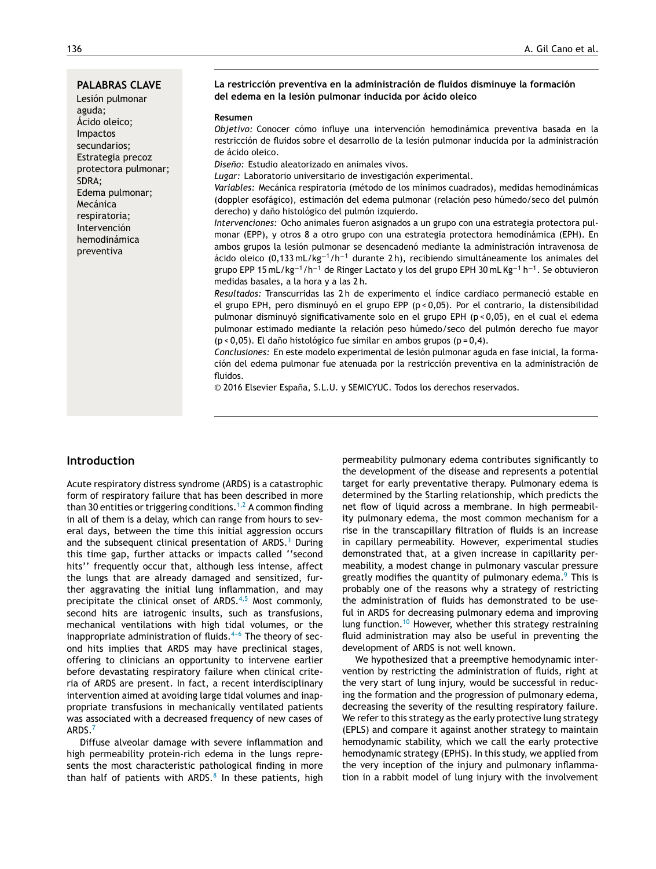**PALABRAS CLAVE**

Lesión pulmonar aguda; Ácido oleico; Impactos secundarios; Estrategia precoz protectora pulmonar; SDRA; Edema pulmonar; Mecánica respiratoria; Intervención hemodinámica preventiva

#### **La restricción preventiva en la administración de fluidos disminuye la formación del edema en la lesión pulmonar inducida por ácido oleico**

#### **Resumen**

*Objetivo:* Conocer cómo influye una intervención hemodinámica preventiva basada en la restricción de fluidos sobre el desarrollo de la lesión pulmonar inducida por la administración de ácido oleico.

*Diseno: ˜* Estudio aleatorizado en animales vivos.

*Lugar:* Laboratorio universitario de investigación experimental.

*Variables:* Mecánica respiratoria (método de los mínimos cuadrados), medidas hemodinámicas (doppler esofágico), estimación del edema pulmonar (relación peso húmedo/seco del pulmón derecho) y daño histológico del pulmón izquierdo.

*Intervenciones:* Ocho animales fueron asignados a un grupo con una estrategia protectora pulmonar (EPP), y otros 8 a otro grupo con una estrategia protectora hemodinámica (EPH). En ambos grupos la lesión pulmonar se desencadenó mediante la administración intravenosa de ácido oleico (0,133 mL/kg<sup>−</sup><sup>1</sup>/h<sup>−</sup><sup>1</sup> durante 2 h), recibiendo simultáneamente los animales del grupo EPP 15 mL/kg<sup>−1</sup>/h<sup>−1</sup> de Ringer Lactato y los del grupo EPH 30 mL Kg<sup>−1</sup> h<sup>−1</sup>. Se obtuvieron medidas basales, a la hora y a las 2 h.

*Resultados:* Transcurridas las 2 h de experimento el índice cardiaco permaneció estable en el grupo EPH, pero disminuyó en el grupo EPP (p < 0,05). Por el contrario, la distensibilidad pulmonar disminuyó significativamente solo en el grupo EPH (p < 0,05), en el cual el edema pulmonar estimado mediante la relación peso húmedo/seco del pulmón derecho fue mayor ( $p$  < 0,05). El daño histológico fue similar en ambos grupos ( $p = 0,4$ ).

*Conclusiones:* En este modelo experimental de lesión pulmonar aguda en fase inicial, la formación del edema pulmonar fue atenuada por la restricción preventiva en la administración de fluidos.

© 2016 Elsevier España, S.L.U. y SEMICYUC. Todos los derechos reservados.

# **Introduction**

Acute respiratory distress syndrome (ARDS) is a catastrophic form of respiratory failure that has been described in more than 30 entities or triggering conditions.<sup>[1,2](#page-6-0)</sup> A common finding in all of them is a delay, which can range from hours to several days, between the time this initial aggression occurs and the subsequent clinical presentation of  $ARDS.<sup>3</sup>$  $ARDS.<sup>3</sup>$  $ARDS.<sup>3</sup>$  During this time gap, further attacks or impacts called ''second hits'' frequently occur that, although less intense, affect the lungs that are already damaged and sensitized, further aggravating the initial lung inflammation, and may precipitate the clinical onset of ARDS. $4,5$  Most commonly, second hits are iatrogenic insults, such as transfusions, mechanical ventilations with high tidal volumes, or the inappropriate administration of fluids. $4-6$  The theory of second hits implies that ARDS may have preclinical stages, offering to clinicians an opportunity to intervene earlier before devastating respiratory failure when clinical criteria of ARDS are present. In fact, a recent interdisciplinary intervention aimed at avoiding large tidal volumes and inappropriate transfusions in mechanically ventilated patients was associated with a decreased frequency of new cases of ARDS.[7](#page-6-0)

Diffuse alveolar damage with severe inflammation and high permeability protein-rich edema in the lungs represents the most characteristic pathological finding in more than half of patients with ARDS.<sup>[8](#page-6-0)</sup> In these patients, high

permeability pulmonary edema contributes significantly to the development of the disease and represents a potential target for early preventative therapy. Pulmonary edema is determined by the Starling relationship, which predicts the net flow of liquid across a membrane. In high permeability pulmonary edema, the most common mechanism for a rise in the transcapillary filtration of fluids is an increase in capillary permeability. However, experimental studies demonstrated that, at a given increase in capillarity permeability, a modest change in pulmonary vascular pressure greatly modifies the quantity of pulmonary edema.<sup>9</sup> [T](#page-6-0)his is probably one of the reasons why a strategy of restricting the administration of fluids has demonstrated to be useful in ARDS for decreasing pulmonary edema and improving lung function.[10](#page-6-0) However, whether this strategy restraining fluid administration may also be useful in preventing the development of ARDS is not well known.

We hypothesized that a preemptive hemodynamic intervention by restricting the administration of fluids, right at the very start of lung injury, would be successful in reducing the formation and the progression of pulmonary edema, decreasing the severity of the resulting respiratory failure. We refer to this strategy as the early protective lung strategy (EPLS) and compare it against another strategy to maintain hemodynamic stability, which we call the early protective hemodynamic strategy (EPHS). In this study, we applied from the very inception of the injury and pulmonary inflammation in a rabbit model of lung injury with the involvement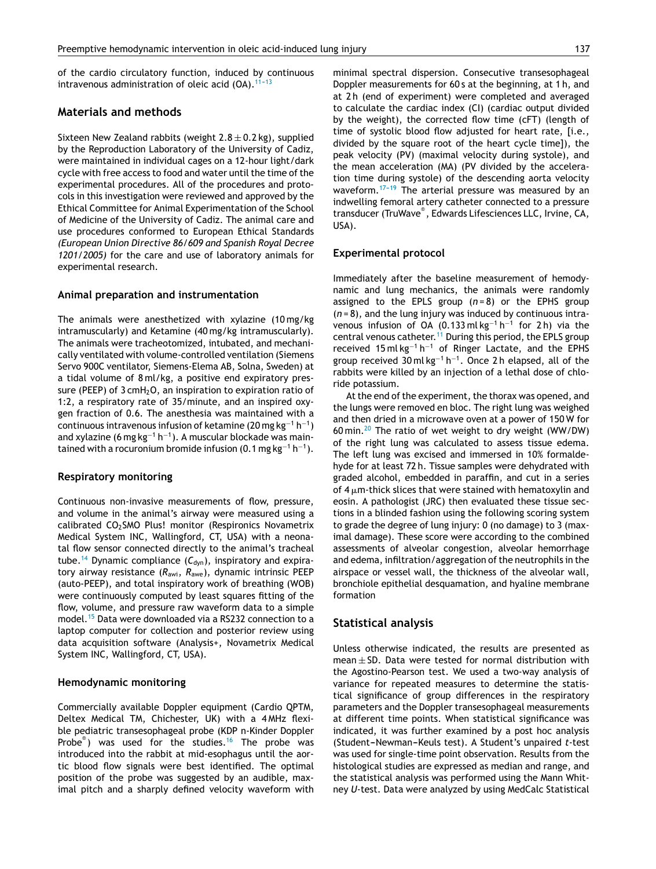of the cardio circulatory function, induced by continuous intravenous administration of oleic acid  $(OA).<sup>11-13</sup>$ 

# **Materials and methods**

Sixteen New Zealand rabbits (weight  $2.8 \pm 0.2$  kg), supplied by the Reproduction Laboratory of the University of Cadiz, were maintained in individual cages on a 12-hour light/dark cycle with free access to food and water until the time of the experimental procedures. All of the procedures and protocols in this investigation were reviewed and approved by the Ethical Committee for Animal Experimentation of the School of Medicine of the University of Cadiz. The animal care and use procedures conformed to European Ethical Standards *(European Union Directive 86/609 and Spanish Royal Decree 1201/2005)* for the care and use of laboratory animals for experimental research.

#### **Animal preparation and instrumentation**

The animals were anesthetized with xylazine (10 mg/kg intramuscularly) and Ketamine (40 mg/kg intramuscularly). The animals were tracheotomized, intubated, and mechanically ventilated with volume-controlled ventilation (Siemens Servo 900C ventilator, Siemens-Elema AB, Solna, Sweden) at a tidal volume of 8 ml/kg, a positive end expiratory pressure (PEEP) of  $3 \text{cm}H_2O$ , an inspiration to expiration ratio of 1:2, a respiratory rate of 35/minute, and an inspired oxygen fraction of 0.6. The anesthesia was maintained with a continuous intravenous infusion of ketamine (20 mg kg<sup>−</sup><sup>1</sup> h −1 ) and xylazine (6 mg kg<sup>-1</sup> h<sup>-1</sup>). A muscular blockade was maintained with a rocuronium bromide infusion (0.1 mg kg $^{-1}$  h $^{-1}$ ).

#### **Respiratory monitoring**

Continuous non-invasive measurements of flow, pressure, and volume in the animal's airway were measured using a calibrated CO<sub>2</sub>SMO Plus! monitor (Respironics Novametrix Medical System INC, Wallingford, CT, USA) with a neonatal flow sensor connected directly to the animal's tracheal tube.<sup>[14](#page-6-0)</sup> Dynamic compliance  $(C_{dyn})$ , inspiratory and expiratory airway resistance (*R*awi, *R*awe), dynamic intrinsic PEEP (auto-PEEP), and total inspiratory work of breathing (WOB) were continuously computed by least squares fitting of the flow, volume, and pressure raw waveform data to a simple model.[15](#page-6-0) Data were downloaded via a RS232 connection to a laptop computer for collection and posterior review using data acquisition software (Analysis+, Novametrix Medical System INC, Wallingford, CT, USA).

## **Hemodynamic monitoring**

Commercially available Doppler equipment (Cardio QPTM, Deltex Medical TM, Chichester, UK) with a 4 MHz flexible pediatric transesophageal probe (KDP n-Kinder Doppler Probe<sup>®</sup>) was used for the studies.<sup>[16](#page-6-0)</sup> The probe was introduced into the rabbit at mid-esophagus until the aortic blood flow signals were best identified. The optimal position of the probe was suggested by an audible, maximal pitch and a sharply defined velocity waveform with minimal spectral dispersion. Consecutive transesophageal Doppler measurements for 60 s at the beginning, at 1 h, and

at 2 h (end of experiment) were completed and averaged to calculate the cardiac index (CI) (cardiac output divided by the weight), the corrected flow time (cFT) (length of time of systolic blood flow adjusted for heart rate, [i.e., divided by the square root of the heart cycle time]), the peak velocity (PV) (maximal velocity during systole), and the mean acceleration (MA) (PV divided by the acceleration time during systole) of the descending aorta velocity waveform. $17-19$  The arterial pressure was measured by an indwelling femoral artery catheter connected to a pressure transducer (TruWave® , Edwards Lifesciences LLC, Irvine, CA, USA).

#### **Experimental protocol**

Immediately after the baseline measurement of hemodynamic and lung mechanics, the animals were randomly assigned to the EPLS group  $(n=8)$  or the EPHS group (*n* = 8), and the lung injury was induced by continuous intravenous infusion of OA (0.133 ml kg<sup>-1</sup> h<sup>-1</sup> for 2 h) via the central venous catheter.[11](#page-6-0) During this period, the EPLS group received 15 ml kg<sup>-1</sup> h<sup>-1</sup> of Ringer Lactate, and the EPHS group received  $30$  ml kg<sup>-1</sup> h<sup>-1</sup>. Once 2 h elapsed, all of the rabbits were killed by an injection of a lethal dose of chloride potassium.

At the end of the experiment, the thorax was opened, and the lungs were removed en bloc. The right lung was weighed and then dried in a microwave oven at a power of 150 W for 60 min.<sup>[20](#page-7-0)</sup> The ratio of wet weight to dry weight (WW/DW) of the right lung was calculated to assess tissue edema. The left lung was excised and immersed in 10% formaldehyde for at least 72 h. Tissue samples were dehydrated with graded alcohol, embedded in paraffin, and cut in a series of 4  $\mu$ m-thick slices that were stained with hematoxylin and eosin. A pathologist (JRC) then evaluated these tissue sections in a blinded fashion using the following scoring system to grade the degree of lung injury: 0 (no damage) to 3 (maximal damage). These score were according to the combined assessments of alveolar congestion, alveolar hemorrhage and edema, infiltration/aggregation of the neutrophils in the airspace or vessel wall, the thickness of the alveolar wall, bronchiole epithelial desquamation, and hyaline membrane formation

## **Statistical analysis**

Unless otherwise indicated, the results are presented as mean  $\pm$  SD. Data were tested for normal distribution with the Agostino-Pearson test. We used a two-way analysis of variance for repeated measures to determine the statistical significance of group differences in the respiratory parameters and the Doppler transesophageal measurements at different time points. When statistical significance was indicated, it was further examined by a post hoc analysis (Student-Newman-Keuls test). A Student's unpaired t-test was used for single-time point observation. Results from the histological studies are expressed as median and range, and the statistical analysis was performed using the Mann Whitney *U*-test. Data were analyzed by using MedCalc Statistical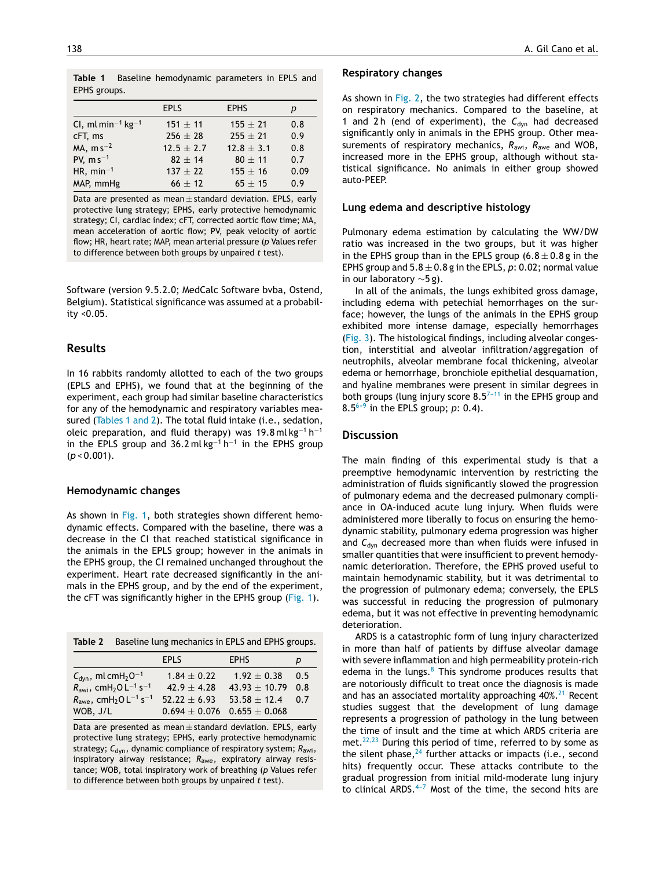**Table 1** Baseline hemodynamic parameters in EPLS and EPHS groups.

|                                           | <b>EPLS</b>    | <b>EPHS</b>    | р    |
|-------------------------------------------|----------------|----------------|------|
| CI, ml min <sup>-1</sup> kg <sup>-1</sup> | $151 \pm 11$   | $155 \pm 21$   | 0.8  |
| cFT, ms                                   | $256 \pm 28$   | $255 \pm 21$   | 0.9  |
| $MA, m s^{-2}$                            | $12.5 \pm 2.7$ | $12.8 \pm 3.1$ | 0.8  |
| PV, $ms^{-1}$                             | $82 + 14$      | $80 + 11$      | 0.7  |
| HR, min <sup>-1</sup>                     | $137 + 22$     | $155 \pm 16$   | 0.09 |
| MAP, mmHg                                 | $66 \pm 12$    | $65 \pm 15$    | 0.9  |

Data are presented as mean  $\pm$  standard deviation. EPLS, early protective lung strategy; EPHS, early protective hemodynamic strategy; CI, cardiac index; cFT, corrected aortic flow time; MA, mean acceleration of aortic flow; PV, peak velocity of aortic flow; HR, heart rate; MAP, mean arterial pressure (*p* Values refer to difference between both groups by unpaired *t* test)*.*

Software (version 9.5.2.0; MedCalc Software bvba, Ostend, Belgium). Statistical significance was assumed at a probability <0.05.

# **Results**

In 16 rabbits randomly allotted to each of the two groups (EPLS and EPHS), we found that at the beginning of the experiment, each group had similar baseline characteristics for any of the hemodynamic and respiratory variables measured (Tables 1 and 2). The total fluid intake (i.e., sedation, oleic preparation, and fluid therapy) was 19.8 ml $kg^{-1}$  h $^{-1}$ in the EPLS group and 36.2 ml kg<sup>-1</sup> h<sup>-1</sup> in the EPHS group (*p* < 0.001).

## **Hemodynamic changes**

As shown in [Fig.](#page-4-0) 1, both strategies shown different hemodynamic effects. Compared with the baseline, there was a decrease in the CI that reached statistical significance in the animals in the EPLS group; however in the animals in the EPHS group, the CI remained unchanged throughout the experiment. Heart rate decreased significantly in the animals in the EPHS group, and by the end of the experiment, the cFT was significantly higher in the EPHS group ([Fig.](#page-4-0) 1).

| Table 2 Baseline lung mechanics in EPLS and EPHS groups. |
|----------------------------------------------------------|
|                                                          |

|                                                                       | <b>EPLS</b>                         | <b>EPHS</b>           | р   |
|-----------------------------------------------------------------------|-------------------------------------|-----------------------|-----|
| $C_{dyn}$ , ml cmH <sub>2</sub> O <sup>-1</sup>                       | $1.84 \pm 0.22$                     | $1.92 \pm 0.38$       | 0.5 |
| $R_{\text{awi}}$ , cmH <sub>2</sub> O L <sup>-1</sup> s <sup>-1</sup> | $42.9 + 4.28$                       | $43.93 \pm 10.79$ 0.8 |     |
| $R_{\text{awe}}$ , cmH <sub>2</sub> O L <sup>-1</sup> s <sup>-1</sup> | $52.22 + 6.93$                      | $53.58 \pm 12.4$      | 0.7 |
| WOB, J/L                                                              | $0.694 \pm 0.076$ 0.655 $\pm$ 0.068 |                       |     |

Data are presented as mean  $\pm$  standard deviation. EPLS, early protective lung strategy; EPHS, early protective hemodynamic strategy;  $C_{dyn}$ , dynamic compliance of respiratory system;  $R_{awi}$ , inspiratory airway resistance; *R*awe, expiratory airway resistance; WOB, total inspiratory work of breathing (*p* Values refer to difference between both groups by unpaired *t* test).

#### **Respiratory changes**

As shown in [Fig.](#page-4-0) 2, the two strategies had different effects on respiratory mechanics. Compared to the baseline, at 1 and 2 h (end of experiment), the  $C_{dyn}$  had decreased significantly only in animals in the EPHS group. Other measurements of respiratory mechanics, *R*awi, *R*awe and WOB, increased more in the EPHS group, although without statistical significance. No animals in either group showed auto-PEEP.

## **Lung edema and descriptive histology**

Pulmonary edema estimation by calculating the WW/DW ratio was increased in the two groups, but it was higher in the EPHS group than in the EPLS group  $(6.8 \pm 0.8$  g in the EPHS group and  $5.8 \pm 0.8$  g in the EPLS,  $p$ : 0.02; normal value in our laboratory ∼5 g).

In all of the animals, the lungs exhibited gross damage, including edema with petechial hemorrhages on the surface; however, the lungs of the animals in the EPHS group exhibited more intense damage, especially hemorrhages [\(Fig.](#page-5-0) 3). The histological findings, including alveolar congestion, interstitial and alveolar infiltration/aggregation of neutrophils, alveolar membrane focal thickening, alveolar edema or hemorrhage, bronchiole epithelial desquamation, and hyaline membranes were present in similar degrees in both groups (lung injury score  $8.5^{7-11}$  in the EPHS group and  $8.5^{6-9}$  in the EPLS group; *p*: 0.4).

#### **Discussion**

The main finding of this experimental study is that a preemptive hemodynamic intervention by restricting the administration of fluids significantly slowed the progression of pulmonary edema and the decreased pulmonary compliance in OA-induced acute lung injury. When fluids were administered more liberally to focus on ensuring the hemodynamic stability, pulmonary edema progression was higher and C<sub>dyn</sub> decreased more than when fluids were infused in smaller quantities that were insufficient to prevent hemodynamic deterioration. Therefore, the EPHS proved useful to maintain hemodynamic stability, but it was detrimental to the progression of pulmonary edema; conversely, the EPLS was successful in reducing the progression of pulmonary edema, but it was not effective in preventing hemodynamic deterioration.

ARDS is a catastrophic form of lung injury characterized in more than half of patients by diffuse alveolar damage with severe inflammation and high permeability protein-rich edema in the lungs. $8$  This syndrome produces results that are notoriously difficult to treat once the diagnosis is made and has an associated mortality approaching  $40\%$ .<sup>[21](#page-7-0)</sup> Recent studies suggest that the development of lung damage represents a progression of pathology in the lung between the time of insult and the time at which ARDS criteria are met.<sup>[22,23](#page-7-0)</sup> During this period of time, referred to by some as the silent phase,  $24$  further attacks or impacts (i.e., second hits) frequently occur. These attacks contribute to the gradual progression from initial mild-moderate lung injury to clinical ARDS. $4-7$  Most of the time, the second hits are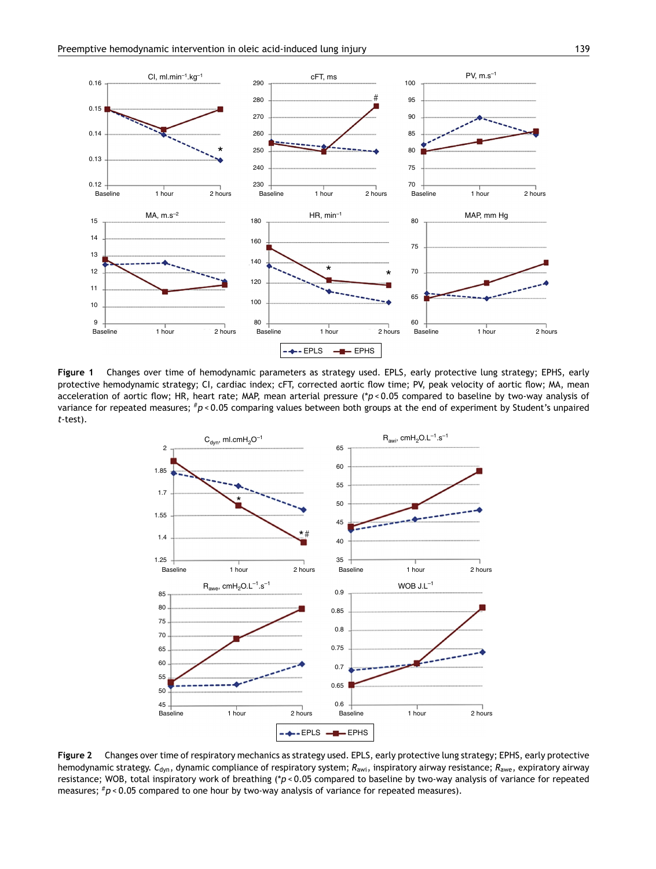<span id="page-4-0"></span>

**Figure 1** Changes over time of hemodynamic parameters as strategy used. EPLS, early protective lung strategy; EPHS, early protective hemodynamic strategy; CI, cardiac index; cFT, corrected aortic flow time; PV, peak velocity of aortic flow; MA, mean acceleration of aortic flow; HR, heart rate; MAP, mean arterial pressure (\**p* < 0.05 compared to baseline by two-way analysis of variance for repeated measures; #*p* < 0.05 comparing values between both groups at the end of experiment by Student's unpaired *t*-test).



**Figure 2** Changes over time of respiratory mechanics as strategy used. EPLS, early protective lung strategy; EPHS, early protective hemodynamic strategy. *C*dyn, dynamic compliance of respiratory system; *R*awi, inspiratory airway resistance; *R*awe, expiratory airway resistance; WOB, total inspiratory work of breathing (\**p* < 0.05 compared to baseline by two-way analysis of variance for repeated measures;  $\#p$  < 0.05 compared to one hour by two-way analysis of variance for repeated measures).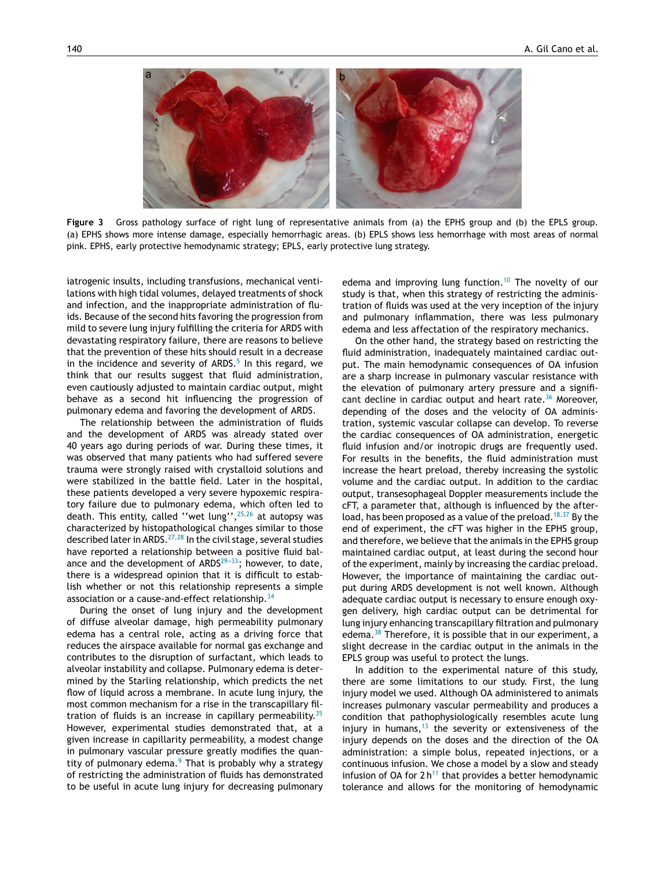<span id="page-5-0"></span>

**Figure 3** Gross pathology surface of right lung of representative animals from (a) the EPHS group and (b) the EPLS group. (a) EPHS shows more intense damage, especially hemorrhagic areas. (b) EPLS shows less hemorrhage with most areas of normal pink. EPHS, early protective hemodynamic strategy; EPLS, early protective lung strategy.

iatrogenic insults, including transfusions, mechanical ventilations with high tidal volumes, delayed treatments of shock and infection, and the inappropriate administration of fluids. Because of the second hits favoring the progression from mild to severe lung injury fulfilling the criteria for ARDS with devastating respiratory failure, there are reasons to believe that the prevention of these hits should result in a decrease in the incidence and severity of ARDS.<sup>[5](#page-6-0)</sup> In this regard, we think that our results suggest that fluid administration, even cautiously adjusted to maintain cardiac output, might behave as a second hit influencing the progression of pulmonary edema and favoring the development of ARDS.

The relationship between the administration of fluids and the development of ARDS was already stated over 40 years ago during periods of war. During these times, it was observed that many patients who had suffered severe trauma were strongly raised with crystalloid solutions and were stabilized in the battle field. Later in the hospital, these patients developed a very severe hypoxemic respiratory failure due to pulmonary edema, which often led to death. This entity, called "wet lung",<sup>[25,26](#page-7-0)</sup> at autopsy was characterized by histopathological changes similar to those described later in ARDS.[27,28](#page-7-0) In the civil stage, several studies have reported a relationship between a positive fluid balance and the development of  $ARDS^{29-33}$ ; however, to date, there is a widespread opinion that it is difficult to establish whether or not this relationship represents a simple association or a cause-and-effect relationship.<sup>[34](#page-7-0)</sup>

During the onset of lung injury and the development of diffuse alveolar damage, high permeability pulmonary edema has a central role, acting as a driving force that reduces the airspace available for normal gas exchange and contributes to the disruption of surfactant, which leads to alveolar instability and collapse. Pulmonary edema is determined by the Starling relationship, which predicts the net flow of liquid across a membrane. In acute lung injury, the most common mechanism for a rise in the transcapillary filtration of fluids is an increase in capillary permeability. $35$ However, experimental studies demonstrated that, at a given increase in capillarity permeability, a modest change in pulmonary vascular pressure greatly modifies the quantity of pulmonary edema. $9$  That is probably why a strategy of restricting the administration of fluids has demonstrated to be useful in acute lung injury for decreasing pulmonary edema and improving lung function.<sup>[10](#page-6-0)</sup> The novelty of our study is that, when this strategy of restricting the administration of fluids was used at the very inception of the injury and pulmonary inflammation, there was less pulmonary edema and less affectation of the respiratory mechanics.

On the other hand, the strategy based on restricting the fluid administration, inadequately maintained cardiac output. The main hemodynamic consequences of OA infusion are a sharp increase in pulmonary vascular resistance with the elevation of pulmonary artery pressure and a signifi-cant decline in cardiac output and heart rate.<sup>[36](#page-7-0)</sup> Moreover, depending of the doses and the velocity of OA administration, systemic vascular collapse can develop. To reverse the cardiac consequences of OA administration, energetic fluid infusion and/or inotropic drugs are frequently used. For results in the benefits, the fluid administration must increase the heart preload, thereby increasing the systolic volume and the cardiac output. In addition to the cardiac output, transesophageal Doppler measurements include the cFT, a parameter that, although is influenced by the after-load, has been proposed as a value of the preload.<sup>[18,37](#page-6-0)</sup> By the end of experiment, the cFT was higher in the EPHS group, and therefore, we believe that the animals in the EPHS group maintained cardiac output, at least during the second hour of the experiment, mainly by increasing the cardiac preload. However, the importance of maintaining the cardiac output during ARDS development is not well known. Although adequate cardiac output is necessary to ensure enough oxygen delivery, high cardiac output can be detrimental for lung injury enhancing transcapillary filtration and pulmonary edema. $38$  Therefore, it is possible that in our experiment, a slight decrease in the cardiac output in the animals in the EPLS group was useful to protect the lungs.

In addition to the experimental nature of this study, there are some limitations to our study. First, the lung injury model we used. Although OA administered to animals increases pulmonary vascular permeability and produces a condition that pathophysiologically resembles acute lung injury in humans,  $13$  the severity or extensiveness of the injury depends on the doses and the direction of the OA administration: a simple bolus, repeated injections, or a continuous infusion. We chose a model by a slow and steady infusion of OA for  $2 h^{11}$  $2 h^{11}$  $2 h^{11}$  that provides a better hemodynamic tolerance and allows for the monitoring of hemodynamic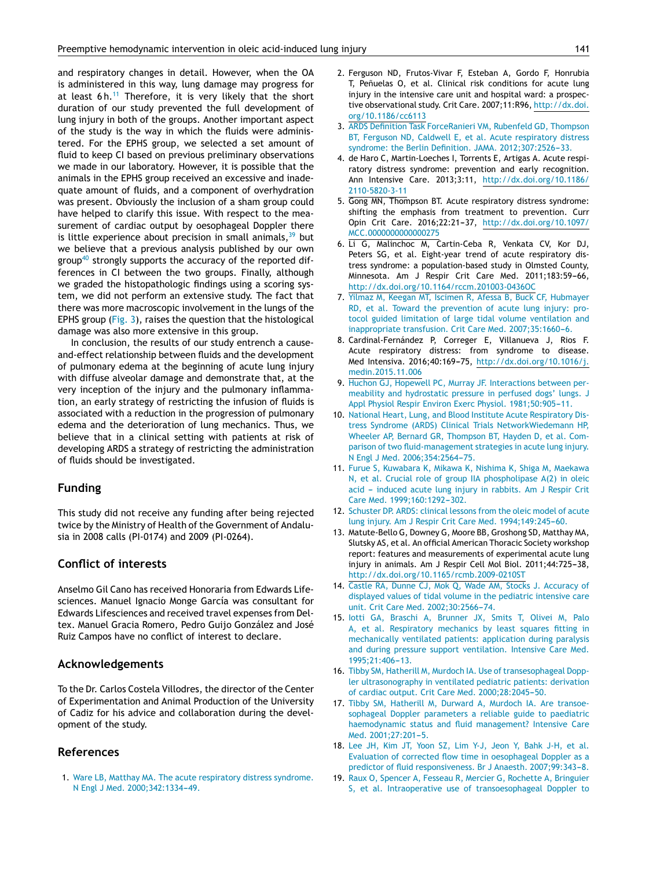<span id="page-6-0"></span>and respiratory changes in detail. However, when the OA is administered in this way, lung damage may progress for at least  $6 h$ .<sup>11</sup> Therefore, it is very likely that the short duration of our study prevented the full development of lung injury in both of the groups. Another important aspect of the study is the way in which the fluids were administered. For the EPHS group, we selected a set amount of fluid to keep CI based on previous preliminary observations we made in our laboratory. However, it is possible that the animals in the EPHS group received an excessive and inadequate amount of fluids, and a component of overhydration was present. Obviously the inclusion of a sham group could have helped to clarify this issue. With respect to the measurement of cardiac output by oesophageal Doppler there is little experience about precision in small animals,  $39$  but we believe that a previous analysis published by our own group<sup>[40](#page-7-0)</sup> strongly supports the accuracy of the reported differences in CI between the two groups. Finally, although we graded the histopathologic findings using a scoring system, we did not perform an extensive study. The fact that there was more macroscopic involvement in the lungs of the EPHS group [\(Fig.](#page-5-0) 3), raises the question that the histological damage was also more extensive in this group.

In conclusion, the results of our study entrench a causeand-effect relationship between fluids and the development of pulmonary edema at the beginning of acute lung injury with diffuse alveolar damage and demonstrate that, at the very inception of the injury and the pulmonary inflammation, an early strategy of restricting the infusion of fluids is associated with a reduction in the progression of pulmonary edema and the deterioration of lung mechanics. Thus, we believe that in a clinical setting with patients at risk of developing ARDS a strategy of restricting the administration of fluids should be investigated.

## **Funding**

This study did not receive any funding after being rejected twice by the Ministry of Health of the Government of Andalusia in 2008 calls (PI-0174) and 2009 (PI-0264).

# **Conflict of interests**

Anselmo Gil Cano has received Honoraria from Edwards Lifesciences. Manuel Ignacio Monge García was consultant for Edwards Lifesciences and received travel expenses from Deltex. Manuel Gracia Romero, Pedro Guijo González and José Ruiz Campos have no conflict of interest to declare.

# **Acknowledgements**

To the Dr. Carlos Costela Villodres, the director of the Center of Experimentation and Animal Production of the University of Cadiz for his advice and collaboration during the development of the study.

# **References**

1. [Ware](http://refhub.elsevier.com/S0210-5691(16)30184-X/sbref0205) [LB,](http://refhub.elsevier.com/S0210-5691(16)30184-X/sbref0205) [Matthay](http://refhub.elsevier.com/S0210-5691(16)30184-X/sbref0205) [MA.](http://refhub.elsevier.com/S0210-5691(16)30184-X/sbref0205) [The](http://refhub.elsevier.com/S0210-5691(16)30184-X/sbref0205) [acute](http://refhub.elsevier.com/S0210-5691(16)30184-X/sbref0205) [respiratory](http://refhub.elsevier.com/S0210-5691(16)30184-X/sbref0205) [distress](http://refhub.elsevier.com/S0210-5691(16)30184-X/sbref0205) [syndrome.](http://refhub.elsevier.com/S0210-5691(16)30184-X/sbref0205) [N](http://refhub.elsevier.com/S0210-5691(16)30184-X/sbref0205) [Engl](http://refhub.elsevier.com/S0210-5691(16)30184-X/sbref0205) [J](http://refhub.elsevier.com/S0210-5691(16)30184-X/sbref0205) [Med.](http://refhub.elsevier.com/S0210-5691(16)30184-X/sbref0205) 2000;342:1334-49.

- 2. Ferguson ND, Frutos-Vivar F, Esteban A, Gordo F, Honrubia T, Peñuelas O, et al. Clinical risk conditions for acute lung injury in the intensive care unit and hospital ward: a prospective observational study. Crit Care. 2007;11:R96, [http://dx.doi.](dx.doi.org/10.1186/cc6113) [org/10.1186/cc6113](dx.doi.org/10.1186/cc6113)
- 3. [ARDS](http://refhub.elsevier.com/S0210-5691(16)30184-X/sbref0215) [Definition](http://refhub.elsevier.com/S0210-5691(16)30184-X/sbref0215) [Task](http://refhub.elsevier.com/S0210-5691(16)30184-X/sbref0215) [ForceRanieri](http://refhub.elsevier.com/S0210-5691(16)30184-X/sbref0215) [VM,](http://refhub.elsevier.com/S0210-5691(16)30184-X/sbref0215) [Rubenfeld](http://refhub.elsevier.com/S0210-5691(16)30184-X/sbref0215) [GD,](http://refhub.elsevier.com/S0210-5691(16)30184-X/sbref0215) [Thompson](http://refhub.elsevier.com/S0210-5691(16)30184-X/sbref0215) [BT,](http://refhub.elsevier.com/S0210-5691(16)30184-X/sbref0215) [Ferguson](http://refhub.elsevier.com/S0210-5691(16)30184-X/sbref0215) [ND,](http://refhub.elsevier.com/S0210-5691(16)30184-X/sbref0215) [Caldwell](http://refhub.elsevier.com/S0210-5691(16)30184-X/sbref0215) [E,](http://refhub.elsevier.com/S0210-5691(16)30184-X/sbref0215) [et](http://refhub.elsevier.com/S0210-5691(16)30184-X/sbref0215) [al.](http://refhub.elsevier.com/S0210-5691(16)30184-X/sbref0215) [Acute](http://refhub.elsevier.com/S0210-5691(16)30184-X/sbref0215) [respiratory](http://refhub.elsevier.com/S0210-5691(16)30184-X/sbref0215) [distress](http://refhub.elsevier.com/S0210-5691(16)30184-X/sbref0215) [syndrome:](http://refhub.elsevier.com/S0210-5691(16)30184-X/sbref0215) [the](http://refhub.elsevier.com/S0210-5691(16)30184-X/sbref0215) [Berlin](http://refhub.elsevier.com/S0210-5691(16)30184-X/sbref0215) [Definition.](http://refhub.elsevier.com/S0210-5691(16)30184-X/sbref0215) [JAMA.](http://refhub.elsevier.com/S0210-5691(16)30184-X/sbref0215) 2012;307:2526-33.
- 4. de Haro C, Martin-Loeches I, Torrents E, Artigas A. Acute respiratory distress syndrome: prevention and early recognition. Ann Intensive Care. 2013;3:11, [http://dx.doi.org/10.1186/](dx.doi.org/10.1186/2110-5820-3-11) [2110-5820-3-11](dx.doi.org/10.1186/2110-5820-3-11)
- 5. Gong MN, Thompson BT. Acute respiratory distress syndrome: shifting the emphasis from treatment to prevention. Curr Opin Crit Care. 2016;22:21-37, [http://dx.doi.org/10.1097/](dx.doi.org/10.1097/MCC.0000000000000275) [MCC.0000000000000275](dx.doi.org/10.1097/MCC.0000000000000275)
- 6. Li G, Malinchoc M, Cartin-Ceba R, Venkata CV, Kor DJ, Peters SG, et al. Eight-year trend of acute respiratory distress syndrome: a population-based study in Olmsted County, Minnesota. Am J Respir Crit Care Med. 2011;183:59-66, [http://dx.doi.org/10.1164/rccm.201003-0436OC](dx.doi.org/10.1164/rccm.201003-0436OC)
- 7. [Yilmaz](http://refhub.elsevier.com/S0210-5691(16)30184-X/sbref0235) [M,](http://refhub.elsevier.com/S0210-5691(16)30184-X/sbref0235) [Keegan](http://refhub.elsevier.com/S0210-5691(16)30184-X/sbref0235) [MT,](http://refhub.elsevier.com/S0210-5691(16)30184-X/sbref0235) [Iscimen](http://refhub.elsevier.com/S0210-5691(16)30184-X/sbref0235) [R,](http://refhub.elsevier.com/S0210-5691(16)30184-X/sbref0235) [Afessa](http://refhub.elsevier.com/S0210-5691(16)30184-X/sbref0235) [B,](http://refhub.elsevier.com/S0210-5691(16)30184-X/sbref0235) [Buck](http://refhub.elsevier.com/S0210-5691(16)30184-X/sbref0235) [CF,](http://refhub.elsevier.com/S0210-5691(16)30184-X/sbref0235) [Hubmayer](http://refhub.elsevier.com/S0210-5691(16)30184-X/sbref0235) [RD,](http://refhub.elsevier.com/S0210-5691(16)30184-X/sbref0235) [et](http://refhub.elsevier.com/S0210-5691(16)30184-X/sbref0235) [al.](http://refhub.elsevier.com/S0210-5691(16)30184-X/sbref0235) [Toward](http://refhub.elsevier.com/S0210-5691(16)30184-X/sbref0235) [the](http://refhub.elsevier.com/S0210-5691(16)30184-X/sbref0235) [prevention](http://refhub.elsevier.com/S0210-5691(16)30184-X/sbref0235) [of](http://refhub.elsevier.com/S0210-5691(16)30184-X/sbref0235) [acute](http://refhub.elsevier.com/S0210-5691(16)30184-X/sbref0235) [lung](http://refhub.elsevier.com/S0210-5691(16)30184-X/sbref0235) [injury:](http://refhub.elsevier.com/S0210-5691(16)30184-X/sbref0235) [pro](http://refhub.elsevier.com/S0210-5691(16)30184-X/sbref0235)[tocol](http://refhub.elsevier.com/S0210-5691(16)30184-X/sbref0235) [guided](http://refhub.elsevier.com/S0210-5691(16)30184-X/sbref0235) [limitation](http://refhub.elsevier.com/S0210-5691(16)30184-X/sbref0235) [of](http://refhub.elsevier.com/S0210-5691(16)30184-X/sbref0235) [large](http://refhub.elsevier.com/S0210-5691(16)30184-X/sbref0235) [tidal](http://refhub.elsevier.com/S0210-5691(16)30184-X/sbref0235) [volume](http://refhub.elsevier.com/S0210-5691(16)30184-X/sbref0235) [ventilation](http://refhub.elsevier.com/S0210-5691(16)30184-X/sbref0235) [and](http://refhub.elsevier.com/S0210-5691(16)30184-X/sbref0235) [inappropriate](http://refhub.elsevier.com/S0210-5691(16)30184-X/sbref0235) [transfusion.](http://refhub.elsevier.com/S0210-5691(16)30184-X/sbref0235) [Crit](http://refhub.elsevier.com/S0210-5691(16)30184-X/sbref0235) [Care](http://refhub.elsevier.com/S0210-5691(16)30184-X/sbref0235) [Med.](http://refhub.elsevier.com/S0210-5691(16)30184-X/sbref0235) 2007;35:1660-6.
- 8. Cardinal-Fernández P, Correger E, Villanueva J, Rios F. Acute respiratory distress: from syndrome to disease. Med Intensiva. 2016;40:169-75, [http://dx.doi.org/10.1016/j.](dx.doi.org/10.1016/j.medin.2015.11.006) [medin.2015.11.006](dx.doi.org/10.1016/j.medin.2015.11.006)
- 9. [Huchon](http://refhub.elsevier.com/S0210-5691(16)30184-X/sbref0245) [GJ,](http://refhub.elsevier.com/S0210-5691(16)30184-X/sbref0245) [Hopewell](http://refhub.elsevier.com/S0210-5691(16)30184-X/sbref0245) [PC,](http://refhub.elsevier.com/S0210-5691(16)30184-X/sbref0245) [Murray](http://refhub.elsevier.com/S0210-5691(16)30184-X/sbref0245) [JF.](http://refhub.elsevier.com/S0210-5691(16)30184-X/sbref0245) [Interactions](http://refhub.elsevier.com/S0210-5691(16)30184-X/sbref0245) [between](http://refhub.elsevier.com/S0210-5691(16)30184-X/sbref0245) [per](http://refhub.elsevier.com/S0210-5691(16)30184-X/sbref0245)[meability](http://refhub.elsevier.com/S0210-5691(16)30184-X/sbref0245) [and](http://refhub.elsevier.com/S0210-5691(16)30184-X/sbref0245) [hydrostatic](http://refhub.elsevier.com/S0210-5691(16)30184-X/sbref0245) [pressure](http://refhub.elsevier.com/S0210-5691(16)30184-X/sbref0245) [in](http://refhub.elsevier.com/S0210-5691(16)30184-X/sbref0245) [perfused](http://refhub.elsevier.com/S0210-5691(16)30184-X/sbref0245) [dogs'](http://refhub.elsevier.com/S0210-5691(16)30184-X/sbref0245) [lungs.](http://refhub.elsevier.com/S0210-5691(16)30184-X/sbref0245) [J](http://refhub.elsevier.com/S0210-5691(16)30184-X/sbref0245) [Appl](http://refhub.elsevier.com/S0210-5691(16)30184-X/sbref0245) [Physiol](http://refhub.elsevier.com/S0210-5691(16)30184-X/sbref0245) [Respir](http://refhub.elsevier.com/S0210-5691(16)30184-X/sbref0245) [Environ](http://refhub.elsevier.com/S0210-5691(16)30184-X/sbref0245) [Exerc](http://refhub.elsevier.com/S0210-5691(16)30184-X/sbref0245) [Physiol.](http://refhub.elsevier.com/S0210-5691(16)30184-X/sbref0245) 1981;50:905-11.
- 10. [National](http://refhub.elsevier.com/S0210-5691(16)30184-X/sbref0250) [Heart,](http://refhub.elsevier.com/S0210-5691(16)30184-X/sbref0250) [Lung,](http://refhub.elsevier.com/S0210-5691(16)30184-X/sbref0250) [and](http://refhub.elsevier.com/S0210-5691(16)30184-X/sbref0250) [Blood](http://refhub.elsevier.com/S0210-5691(16)30184-X/sbref0250) [Institute](http://refhub.elsevier.com/S0210-5691(16)30184-X/sbref0250) [Acute](http://refhub.elsevier.com/S0210-5691(16)30184-X/sbref0250) [Respiratory](http://refhub.elsevier.com/S0210-5691(16)30184-X/sbref0250) [Dis](http://refhub.elsevier.com/S0210-5691(16)30184-X/sbref0250)[tress](http://refhub.elsevier.com/S0210-5691(16)30184-X/sbref0250) [Syndrome](http://refhub.elsevier.com/S0210-5691(16)30184-X/sbref0250) [\(ARDS\)](http://refhub.elsevier.com/S0210-5691(16)30184-X/sbref0250) [Clinical](http://refhub.elsevier.com/S0210-5691(16)30184-X/sbref0250) [Trials](http://refhub.elsevier.com/S0210-5691(16)30184-X/sbref0250) [NetworkWiedemann](http://refhub.elsevier.com/S0210-5691(16)30184-X/sbref0250) [HP,](http://refhub.elsevier.com/S0210-5691(16)30184-X/sbref0250) [Wheeler](http://refhub.elsevier.com/S0210-5691(16)30184-X/sbref0250) [AP,](http://refhub.elsevier.com/S0210-5691(16)30184-X/sbref0250) [Bernard](http://refhub.elsevier.com/S0210-5691(16)30184-X/sbref0250) [GR,](http://refhub.elsevier.com/S0210-5691(16)30184-X/sbref0250) [Thompson](http://refhub.elsevier.com/S0210-5691(16)30184-X/sbref0250) [BT,](http://refhub.elsevier.com/S0210-5691(16)30184-X/sbref0250) [Hayden](http://refhub.elsevier.com/S0210-5691(16)30184-X/sbref0250) [D,](http://refhub.elsevier.com/S0210-5691(16)30184-X/sbref0250) [et](http://refhub.elsevier.com/S0210-5691(16)30184-X/sbref0250) [al.](http://refhub.elsevier.com/S0210-5691(16)30184-X/sbref0250) [Com](http://refhub.elsevier.com/S0210-5691(16)30184-X/sbref0250)[parison](http://refhub.elsevier.com/S0210-5691(16)30184-X/sbref0250) [of](http://refhub.elsevier.com/S0210-5691(16)30184-X/sbref0250) [two](http://refhub.elsevier.com/S0210-5691(16)30184-X/sbref0250) [fluid-management](http://refhub.elsevier.com/S0210-5691(16)30184-X/sbref0250) [strategies](http://refhub.elsevier.com/S0210-5691(16)30184-X/sbref0250) [in](http://refhub.elsevier.com/S0210-5691(16)30184-X/sbref0250) [acute](http://refhub.elsevier.com/S0210-5691(16)30184-X/sbref0250) [lung](http://refhub.elsevier.com/S0210-5691(16)30184-X/sbref0250) [injury.](http://refhub.elsevier.com/S0210-5691(16)30184-X/sbref0250) [N](http://refhub.elsevier.com/S0210-5691(16)30184-X/sbref0250) [Engl](http://refhub.elsevier.com/S0210-5691(16)30184-X/sbref0250) [J](http://refhub.elsevier.com/S0210-5691(16)30184-X/sbref0250) [Med.](http://refhub.elsevier.com/S0210-5691(16)30184-X/sbref0250) 2006;354:2564-75.
- 11. [Furue](http://refhub.elsevier.com/S0210-5691(16)30184-X/sbref0255) [S,](http://refhub.elsevier.com/S0210-5691(16)30184-X/sbref0255) [Kuwabara](http://refhub.elsevier.com/S0210-5691(16)30184-X/sbref0255) [K,](http://refhub.elsevier.com/S0210-5691(16)30184-X/sbref0255) [Mikawa](http://refhub.elsevier.com/S0210-5691(16)30184-X/sbref0255) [K,](http://refhub.elsevier.com/S0210-5691(16)30184-X/sbref0255) [Nishima](http://refhub.elsevier.com/S0210-5691(16)30184-X/sbref0255) [K,](http://refhub.elsevier.com/S0210-5691(16)30184-X/sbref0255) [Shiga](http://refhub.elsevier.com/S0210-5691(16)30184-X/sbref0255) [M,](http://refhub.elsevier.com/S0210-5691(16)30184-X/sbref0255) [Maekawa](http://refhub.elsevier.com/S0210-5691(16)30184-X/sbref0255) [N,](http://refhub.elsevier.com/S0210-5691(16)30184-X/sbref0255) [et](http://refhub.elsevier.com/S0210-5691(16)30184-X/sbref0255) [al.](http://refhub.elsevier.com/S0210-5691(16)30184-X/sbref0255) [Crucial](http://refhub.elsevier.com/S0210-5691(16)30184-X/sbref0255) [role](http://refhub.elsevier.com/S0210-5691(16)30184-X/sbref0255) [of](http://refhub.elsevier.com/S0210-5691(16)30184-X/sbref0255) [group](http://refhub.elsevier.com/S0210-5691(16)30184-X/sbref0255) [IIA](http://refhub.elsevier.com/S0210-5691(16)30184-X/sbref0255) [phospholipase](http://refhub.elsevier.com/S0210-5691(16)30184-X/sbref0255) [A\(2\)](http://refhub.elsevier.com/S0210-5691(16)30184-X/sbref0255) [in](http://refhub.elsevier.com/S0210-5691(16)30184-X/sbref0255) [oleic](http://refhub.elsevier.com/S0210-5691(16)30184-X/sbref0255) [acid](http://refhub.elsevier.com/S0210-5691(16)30184-X/sbref0255) - [induced](http://refhub.elsevier.com/S0210-5691(16)30184-X/sbref0255) [acute](http://refhub.elsevier.com/S0210-5691(16)30184-X/sbref0255) [lung](http://refhub.elsevier.com/S0210-5691(16)30184-X/sbref0255) [injury](http://refhub.elsevier.com/S0210-5691(16)30184-X/sbref0255) [in](http://refhub.elsevier.com/S0210-5691(16)30184-X/sbref0255) [rabbits.](http://refhub.elsevier.com/S0210-5691(16)30184-X/sbref0255) [Am](http://refhub.elsevier.com/S0210-5691(16)30184-X/sbref0255) [J](http://refhub.elsevier.com/S0210-5691(16)30184-X/sbref0255) [Respir](http://refhub.elsevier.com/S0210-5691(16)30184-X/sbref0255) [Crit](http://refhub.elsevier.com/S0210-5691(16)30184-X/sbref0255) [Care](http://refhub.elsevier.com/S0210-5691(16)30184-X/sbref0255) [Med.](http://refhub.elsevier.com/S0210-5691(16)30184-X/sbref0255) 1999:160:1292[-302.](http://refhub.elsevier.com/S0210-5691(16)30184-X/sbref0255)
- 12. [Schuster](http://refhub.elsevier.com/S0210-5691(16)30184-X/sbref0260) [DP.](http://refhub.elsevier.com/S0210-5691(16)30184-X/sbref0260) [ARDS:](http://refhub.elsevier.com/S0210-5691(16)30184-X/sbref0260) [clinical](http://refhub.elsevier.com/S0210-5691(16)30184-X/sbref0260) [lessons](http://refhub.elsevier.com/S0210-5691(16)30184-X/sbref0260) [from](http://refhub.elsevier.com/S0210-5691(16)30184-X/sbref0260) [the](http://refhub.elsevier.com/S0210-5691(16)30184-X/sbref0260) [oleic](http://refhub.elsevier.com/S0210-5691(16)30184-X/sbref0260) [model](http://refhub.elsevier.com/S0210-5691(16)30184-X/sbref0260) [of](http://refhub.elsevier.com/S0210-5691(16)30184-X/sbref0260) [acute](http://refhub.elsevier.com/S0210-5691(16)30184-X/sbref0260) [lung](http://refhub.elsevier.com/S0210-5691(16)30184-X/sbref0260) [injury.](http://refhub.elsevier.com/S0210-5691(16)30184-X/sbref0260) [Am](http://refhub.elsevier.com/S0210-5691(16)30184-X/sbref0260) [J](http://refhub.elsevier.com/S0210-5691(16)30184-X/sbref0260) [Respir](http://refhub.elsevier.com/S0210-5691(16)30184-X/sbref0260) [Crit](http://refhub.elsevier.com/S0210-5691(16)30184-X/sbref0260) [Care](http://refhub.elsevier.com/S0210-5691(16)30184-X/sbref0260) [Med.](http://refhub.elsevier.com/S0210-5691(16)30184-X/sbref0260) [1994;149:245](http://refhub.elsevier.com/S0210-5691(16)30184-X/sbref0260)-[60.](http://refhub.elsevier.com/S0210-5691(16)30184-X/sbref0260)
- 13. Matute-Bello G, Downey G, Moore BB, Groshong SD, Matthay MA, Slutsky AS, et al. An official American Thoracic Society workshop report: features and measurements of experimental acute lung injury in animals. Am J Respir Cell Mol Biol. 2011;44:725-38, [http://dx.doi.org/10.1165/rcmb.2009-0210ST](dx.doi.org/10.1165/rcmb.2009-0210ST)
- 14. [Castle](http://refhub.elsevier.com/S0210-5691(16)30184-X/sbref0270) [RA,](http://refhub.elsevier.com/S0210-5691(16)30184-X/sbref0270) [Dunne](http://refhub.elsevier.com/S0210-5691(16)30184-X/sbref0270) [CJ,](http://refhub.elsevier.com/S0210-5691(16)30184-X/sbref0270) [Mok](http://refhub.elsevier.com/S0210-5691(16)30184-X/sbref0270) [Q,](http://refhub.elsevier.com/S0210-5691(16)30184-X/sbref0270) [Wade](http://refhub.elsevier.com/S0210-5691(16)30184-X/sbref0270) [AM,](http://refhub.elsevier.com/S0210-5691(16)30184-X/sbref0270) [Stocks](http://refhub.elsevier.com/S0210-5691(16)30184-X/sbref0270) [J.](http://refhub.elsevier.com/S0210-5691(16)30184-X/sbref0270) [Accuracy](http://refhub.elsevier.com/S0210-5691(16)30184-X/sbref0270) [of](http://refhub.elsevier.com/S0210-5691(16)30184-X/sbref0270) [displayed](http://refhub.elsevier.com/S0210-5691(16)30184-X/sbref0270) [values](http://refhub.elsevier.com/S0210-5691(16)30184-X/sbref0270) [of](http://refhub.elsevier.com/S0210-5691(16)30184-X/sbref0270) [tidal](http://refhub.elsevier.com/S0210-5691(16)30184-X/sbref0270) [volume](http://refhub.elsevier.com/S0210-5691(16)30184-X/sbref0270) [in](http://refhub.elsevier.com/S0210-5691(16)30184-X/sbref0270) [the](http://refhub.elsevier.com/S0210-5691(16)30184-X/sbref0270) [pediatric](http://refhub.elsevier.com/S0210-5691(16)30184-X/sbref0270) [intensive](http://refhub.elsevier.com/S0210-5691(16)30184-X/sbref0270) [care](http://refhub.elsevier.com/S0210-5691(16)30184-X/sbref0270) [unit.](http://refhub.elsevier.com/S0210-5691(16)30184-X/sbref0270) [Crit](http://refhub.elsevier.com/S0210-5691(16)30184-X/sbref0270) [Care](http://refhub.elsevier.com/S0210-5691(16)30184-X/sbref0270) [Med.](http://refhub.elsevier.com/S0210-5691(16)30184-X/sbref0270) 2002;30:2566-74.
- 15. [Iotti](http://refhub.elsevier.com/S0210-5691(16)30184-X/sbref0275) [GA,](http://refhub.elsevier.com/S0210-5691(16)30184-X/sbref0275) [Braschi](http://refhub.elsevier.com/S0210-5691(16)30184-X/sbref0275) [A,](http://refhub.elsevier.com/S0210-5691(16)30184-X/sbref0275) [Brunner](http://refhub.elsevier.com/S0210-5691(16)30184-X/sbref0275) [JX,](http://refhub.elsevier.com/S0210-5691(16)30184-X/sbref0275) [Smits](http://refhub.elsevier.com/S0210-5691(16)30184-X/sbref0275) [T,](http://refhub.elsevier.com/S0210-5691(16)30184-X/sbref0275) [Olivei](http://refhub.elsevier.com/S0210-5691(16)30184-X/sbref0275) [M,](http://refhub.elsevier.com/S0210-5691(16)30184-X/sbref0275) [Palo](http://refhub.elsevier.com/S0210-5691(16)30184-X/sbref0275) [A,](http://refhub.elsevier.com/S0210-5691(16)30184-X/sbref0275) [et](http://refhub.elsevier.com/S0210-5691(16)30184-X/sbref0275) [al.](http://refhub.elsevier.com/S0210-5691(16)30184-X/sbref0275) [Respiratory](http://refhub.elsevier.com/S0210-5691(16)30184-X/sbref0275) [mechanics](http://refhub.elsevier.com/S0210-5691(16)30184-X/sbref0275) [by](http://refhub.elsevier.com/S0210-5691(16)30184-X/sbref0275) [least](http://refhub.elsevier.com/S0210-5691(16)30184-X/sbref0275) [squares](http://refhub.elsevier.com/S0210-5691(16)30184-X/sbref0275) [fitting](http://refhub.elsevier.com/S0210-5691(16)30184-X/sbref0275) [in](http://refhub.elsevier.com/S0210-5691(16)30184-X/sbref0275) [mechanically](http://refhub.elsevier.com/S0210-5691(16)30184-X/sbref0275) [ventilated](http://refhub.elsevier.com/S0210-5691(16)30184-X/sbref0275) [patients:](http://refhub.elsevier.com/S0210-5691(16)30184-X/sbref0275) [application](http://refhub.elsevier.com/S0210-5691(16)30184-X/sbref0275) [during](http://refhub.elsevier.com/S0210-5691(16)30184-X/sbref0275) [paralysis](http://refhub.elsevier.com/S0210-5691(16)30184-X/sbref0275) [and](http://refhub.elsevier.com/S0210-5691(16)30184-X/sbref0275) [during](http://refhub.elsevier.com/S0210-5691(16)30184-X/sbref0275) [pressure](http://refhub.elsevier.com/S0210-5691(16)30184-X/sbref0275) [support](http://refhub.elsevier.com/S0210-5691(16)30184-X/sbref0275) [ventilation.](http://refhub.elsevier.com/S0210-5691(16)30184-X/sbref0275) [Intensive](http://refhub.elsevier.com/S0210-5691(16)30184-X/sbref0275) [Care](http://refhub.elsevier.com/S0210-5691(16)30184-X/sbref0275) [Med.](http://refhub.elsevier.com/S0210-5691(16)30184-X/sbref0275) 1995;21:406-13.
- 16. [Tibby](http://refhub.elsevier.com/S0210-5691(16)30184-X/sbref0280) [SM,](http://refhub.elsevier.com/S0210-5691(16)30184-X/sbref0280) [Hatherill](http://refhub.elsevier.com/S0210-5691(16)30184-X/sbref0280) [M,](http://refhub.elsevier.com/S0210-5691(16)30184-X/sbref0280) [Murdoch](http://refhub.elsevier.com/S0210-5691(16)30184-X/sbref0280) [IA.](http://refhub.elsevier.com/S0210-5691(16)30184-X/sbref0280) [Use](http://refhub.elsevier.com/S0210-5691(16)30184-X/sbref0280) [of](http://refhub.elsevier.com/S0210-5691(16)30184-X/sbref0280) [transesophageal](http://refhub.elsevier.com/S0210-5691(16)30184-X/sbref0280) [Dopp](http://refhub.elsevier.com/S0210-5691(16)30184-X/sbref0280)[ler](http://refhub.elsevier.com/S0210-5691(16)30184-X/sbref0280) [ultrasonography](http://refhub.elsevier.com/S0210-5691(16)30184-X/sbref0280) [in](http://refhub.elsevier.com/S0210-5691(16)30184-X/sbref0280) [ventilated](http://refhub.elsevier.com/S0210-5691(16)30184-X/sbref0280) [pediatric](http://refhub.elsevier.com/S0210-5691(16)30184-X/sbref0280) [patients:](http://refhub.elsevier.com/S0210-5691(16)30184-X/sbref0280) [derivation](http://refhub.elsevier.com/S0210-5691(16)30184-X/sbref0280) [of](http://refhub.elsevier.com/S0210-5691(16)30184-X/sbref0280) [cardiac](http://refhub.elsevier.com/S0210-5691(16)30184-X/sbref0280) [output.](http://refhub.elsevier.com/S0210-5691(16)30184-X/sbref0280) [Crit](http://refhub.elsevier.com/S0210-5691(16)30184-X/sbref0280) [Care](http://refhub.elsevier.com/S0210-5691(16)30184-X/sbref0280) [Med.](http://refhub.elsevier.com/S0210-5691(16)30184-X/sbref0280) 2000;28:2045-50.
- 17. [Tibby](http://refhub.elsevier.com/S0210-5691(16)30184-X/sbref0285) [SM,](http://refhub.elsevier.com/S0210-5691(16)30184-X/sbref0285) [Hatherill](http://refhub.elsevier.com/S0210-5691(16)30184-X/sbref0285) [M,](http://refhub.elsevier.com/S0210-5691(16)30184-X/sbref0285) [Durward](http://refhub.elsevier.com/S0210-5691(16)30184-X/sbref0285) [A,](http://refhub.elsevier.com/S0210-5691(16)30184-X/sbref0285) [Murdoch](http://refhub.elsevier.com/S0210-5691(16)30184-X/sbref0285) [IA.](http://refhub.elsevier.com/S0210-5691(16)30184-X/sbref0285) [Are](http://refhub.elsevier.com/S0210-5691(16)30184-X/sbref0285) [transoe](http://refhub.elsevier.com/S0210-5691(16)30184-X/sbref0285)[sophageal](http://refhub.elsevier.com/S0210-5691(16)30184-X/sbref0285) [Doppler](http://refhub.elsevier.com/S0210-5691(16)30184-X/sbref0285) [parameters](http://refhub.elsevier.com/S0210-5691(16)30184-X/sbref0285) [a](http://refhub.elsevier.com/S0210-5691(16)30184-X/sbref0285) [reliable](http://refhub.elsevier.com/S0210-5691(16)30184-X/sbref0285) [guide](http://refhub.elsevier.com/S0210-5691(16)30184-X/sbref0285) [to](http://refhub.elsevier.com/S0210-5691(16)30184-X/sbref0285) [paediatric](http://refhub.elsevier.com/S0210-5691(16)30184-X/sbref0285) [haemodynamic](http://refhub.elsevier.com/S0210-5691(16)30184-X/sbref0285) [status](http://refhub.elsevier.com/S0210-5691(16)30184-X/sbref0285) [and](http://refhub.elsevier.com/S0210-5691(16)30184-X/sbref0285) [fluid](http://refhub.elsevier.com/S0210-5691(16)30184-X/sbref0285) [management?](http://refhub.elsevier.com/S0210-5691(16)30184-X/sbref0285) [Intensive](http://refhub.elsevier.com/S0210-5691(16)30184-X/sbref0285) [Care](http://refhub.elsevier.com/S0210-5691(16)30184-X/sbref0285) [Med.](http://refhub.elsevier.com/S0210-5691(16)30184-X/sbref0285) 2001;27:201-5.
- 18. [Lee](http://refhub.elsevier.com/S0210-5691(16)30184-X/sbref0290) [JH,](http://refhub.elsevier.com/S0210-5691(16)30184-X/sbref0290) [Kim](http://refhub.elsevier.com/S0210-5691(16)30184-X/sbref0290) [JT,](http://refhub.elsevier.com/S0210-5691(16)30184-X/sbref0290) [Yoon](http://refhub.elsevier.com/S0210-5691(16)30184-X/sbref0290) [SZ,](http://refhub.elsevier.com/S0210-5691(16)30184-X/sbref0290) [Lim](http://refhub.elsevier.com/S0210-5691(16)30184-X/sbref0290) [Y-J,](http://refhub.elsevier.com/S0210-5691(16)30184-X/sbref0290) [Jeon](http://refhub.elsevier.com/S0210-5691(16)30184-X/sbref0290) [Y,](http://refhub.elsevier.com/S0210-5691(16)30184-X/sbref0290) [Bahk](http://refhub.elsevier.com/S0210-5691(16)30184-X/sbref0290) [J-H,](http://refhub.elsevier.com/S0210-5691(16)30184-X/sbref0290) [et](http://refhub.elsevier.com/S0210-5691(16)30184-X/sbref0290) [al.](http://refhub.elsevier.com/S0210-5691(16)30184-X/sbref0290) [Evaluation](http://refhub.elsevier.com/S0210-5691(16)30184-X/sbref0290) [of](http://refhub.elsevier.com/S0210-5691(16)30184-X/sbref0290) [corrected](http://refhub.elsevier.com/S0210-5691(16)30184-X/sbref0290) [flow](http://refhub.elsevier.com/S0210-5691(16)30184-X/sbref0290) [time](http://refhub.elsevier.com/S0210-5691(16)30184-X/sbref0290) [in](http://refhub.elsevier.com/S0210-5691(16)30184-X/sbref0290) [oesophageal](http://refhub.elsevier.com/S0210-5691(16)30184-X/sbref0290) [Doppler](http://refhub.elsevier.com/S0210-5691(16)30184-X/sbref0290) [as](http://refhub.elsevier.com/S0210-5691(16)30184-X/sbref0290) [a](http://refhub.elsevier.com/S0210-5691(16)30184-X/sbref0290) [predictor](http://refhub.elsevier.com/S0210-5691(16)30184-X/sbref0290) [of](http://refhub.elsevier.com/S0210-5691(16)30184-X/sbref0290) [fluid](http://refhub.elsevier.com/S0210-5691(16)30184-X/sbref0290) [responsiveness.](http://refhub.elsevier.com/S0210-5691(16)30184-X/sbref0290) [Br](http://refhub.elsevier.com/S0210-5691(16)30184-X/sbref0290) [J](http://refhub.elsevier.com/S0210-5691(16)30184-X/sbref0290) [Anaesth.](http://refhub.elsevier.com/S0210-5691(16)30184-X/sbref0290) [2007;99:343](http://refhub.elsevier.com/S0210-5691(16)30184-X/sbref0290)-[8.](http://refhub.elsevier.com/S0210-5691(16)30184-X/sbref0290)
- 19. [Raux](http://refhub.elsevier.com/S0210-5691(16)30184-X/sbref0295) [O,](http://refhub.elsevier.com/S0210-5691(16)30184-X/sbref0295) [Spencer](http://refhub.elsevier.com/S0210-5691(16)30184-X/sbref0295) [A,](http://refhub.elsevier.com/S0210-5691(16)30184-X/sbref0295) [Fesseau](http://refhub.elsevier.com/S0210-5691(16)30184-X/sbref0295) [R,](http://refhub.elsevier.com/S0210-5691(16)30184-X/sbref0295) [Mercier](http://refhub.elsevier.com/S0210-5691(16)30184-X/sbref0295) [G,](http://refhub.elsevier.com/S0210-5691(16)30184-X/sbref0295) [Rochette](http://refhub.elsevier.com/S0210-5691(16)30184-X/sbref0295) [A,](http://refhub.elsevier.com/S0210-5691(16)30184-X/sbref0295) [Bringuier](http://refhub.elsevier.com/S0210-5691(16)30184-X/sbref0295) [S,](http://refhub.elsevier.com/S0210-5691(16)30184-X/sbref0295) [et](http://refhub.elsevier.com/S0210-5691(16)30184-X/sbref0295) [al.](http://refhub.elsevier.com/S0210-5691(16)30184-X/sbref0295) [Intraoperative](http://refhub.elsevier.com/S0210-5691(16)30184-X/sbref0295) [use](http://refhub.elsevier.com/S0210-5691(16)30184-X/sbref0295) [of](http://refhub.elsevier.com/S0210-5691(16)30184-X/sbref0295) [transoesophageal](http://refhub.elsevier.com/S0210-5691(16)30184-X/sbref0295) [Doppler](http://refhub.elsevier.com/S0210-5691(16)30184-X/sbref0295) [to](http://refhub.elsevier.com/S0210-5691(16)30184-X/sbref0295)